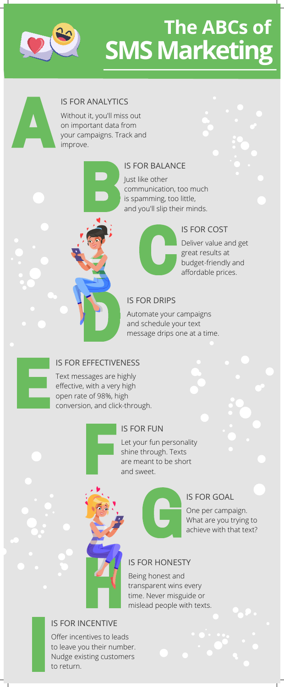

# **SMSMarketing The ABCs of**



# IS FOR ANALYTICS

Without it, you'll miss out on important data from your campaigns. Track and improve.



#### IS FOR BALANCE

Just like other communication, too much is spamming, too little, and you'll slip their minds.



# IS FOR COST

Deliver value and get great results at budget-friendly and affordable prices.

# IS FOR DRIPS

Automate your campaigns and schedule your text message drips one at a time.

#### IS FOR EFFECTIVENESS

Text messages are highly effective, with a very high open rate of 98%, high conversion, and click-through.

# IS FOR FUN

Let your fun personality shine through. Texts are meant to be short and sweet.



# IS FOR HONESTY

Being honest and transparent wins every time. Never misguide or mislead people with texts.

# IS FOR GOAL

One per campaign. What are you trying to achieve with that text?

#### IS FOR INCENTIVE

Offer incentives to leads to leave you their number. Nudge existing customers to return.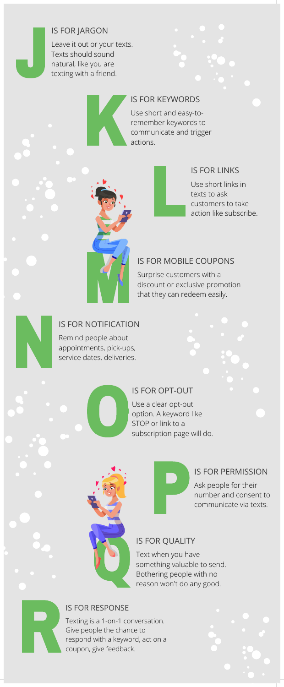# IS FOR JARGON

Leave it out or your texts. Texts should sound natural, like you are texting with a friend.



### IS FOR KEYWORDS

Use short and easy-toremember keywords to communicate and trigger actions.

# IS FOR LINKS

Use short links in texts to ask customers to take action like subscribe.

### IS FOR MOBILE COUPONS

Surprise customers with a discount or exclusive promotion that they can redeem easily.

# IS FOR NOTIFICATION

Remind people about appointments, pick-ups, service dates, deliveries.

IS FOR OPT-OUT

Use a clear opt-out option. A keyword like STOP or link to a subscription page will do.



# IS FOR PERMISSION

Ask people for their number and consent to communicate via texts.

#### IS FOR QUALITY

Text when you have something valuable to send. Bothering people with no reason won't do any good.

#### IS FOR RESPONSE

Texting is a 1-on-1 conversation. Give people the chance to respond with a keyword, act on a coupon, give feedback.